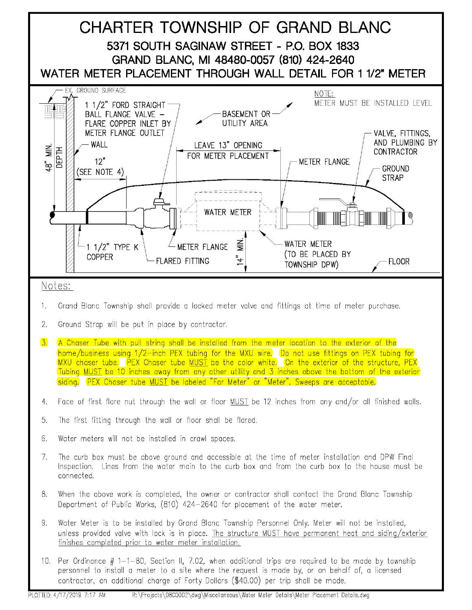

- 2. Ground Strap will be put in place by contractor.
- 3. A Chaser Tube with pull string shall be installed from the meter location to the exterior of the home/business using 1/2-inch PEX tubing for the MXU wire. Do not use fittings on PEX tubing for MXU chaser tube. PEX Chaser tube MUST be the color white. On the exterior of the structure, PEX Tubing MUST be 10 inches away from any other utility and 3 inches above the bottom of the exterior siding. PEX Chaser tube MUST be labeled "For Meter" or "Meter". Sweeps are acceptable.
- 4. Face of first flare nut through the wall or floor MUST be 12 inches from any and/or all finished walls.
- 5. The first fitting through the wall or floor shall be flared.
- 6. Water meters will not be installed in crawl spaces.
- 7. The curb box must be above ground and accessible at the time of meter installation and DPW Final Inspection. Lines from the water main to the curb box and from the curb box to the house must be connected.
- 8. When the above work is completed, the owner or contractor shall contact the Grand Blanc Township Department of Public Works, (810) 424-2640 for placement of the water meter.
- 9. Water Meter is to be installed by Grand Blanc Township Personnel Only. Meter will not be installed, unless provided valve with lock is in place. The structure MUST have permanent heat and siding/exterior finishes completed prior to water meter installation.
- 10. Per Ordinance # 1-1-80, Section II, 7.02, when additional trips are required to be made by township personnel to install a meter to a site where the request is made by, or on behalf of, a licensed contractor, an additional charge of Forty Dollars (\$40.00) per trip shall be made.